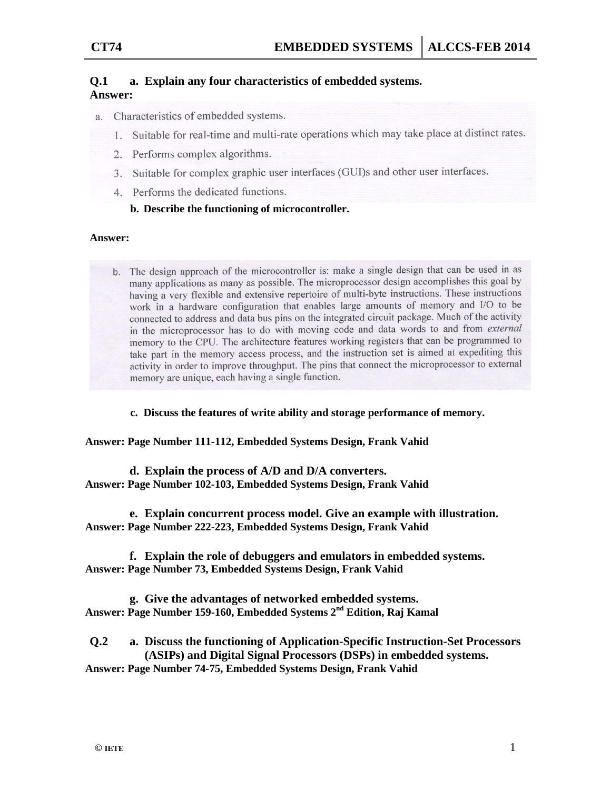#### **Q.1 a. Explain any four characteristics of embedded systems. Answer:**

- a. Characteristics of embedded systems.
	- 1. Suitable for real-time and multi-rate operations which may take place at distinct rates.
	- 2. Performs complex algorithms.
	- 3. Suitable for complex graphic user interfaces (GUI)s and other user interfaces.
	- 4. Performs the dedicated functions.

# **b. Describe the functioning of microcontroller.**

### **Answer:**

b. The design approach of the microcontroller is: make a single design that can be used in as many applications as many as possible. The microprocessor design accomplishes this goal by having a very flexible and extensive repertoire of multi-byte instructions. These instructions work in a hardware configuration that enables large amounts of memory and I/O to be connected to address and data bus pins on the integrated circuit package. Much of the activity in the microprocessor has to do with moving code and data words to and from external memory to the CPU. The architecture features working registers that can be programmed to take part in the memory access process, and the instruction set is aimed at expediting this activity in order to improve throughput. The pins that connect the microprocessor to external memory are unique, each having a single function.

**c. Discuss the features of write ability and storage performance of memory.**

**Answer: Page Number 111-112, Embedded Systems Design, Frank Vahid**

**d. Explain the process of A/D and D/A converters. Answer: Page Number 102-103, Embedded Systems Design, Frank Vahid**

**e. Explain concurrent process model. Give an example with illustration. Answer: Page Number 222-223, Embedded Systems Design, Frank Vahid**

**f. Explain the role of debuggers and emulators in embedded systems. Answer: Page Number 73, Embedded Systems Design, Frank Vahid**

**g. Give the advantages of networked embedded systems. Answer: Page Number 159-160, Embedded Systems 2nd Edition, Raj Kamal**

**Q.2 a. Discuss the functioning of Application-Specific Instruction-Set Processors (ASIPs) and Digital Signal Processors (DSPs) in embedded systems. Answer: Page Number 74-75, Embedded Systems Design, Frank Vahid**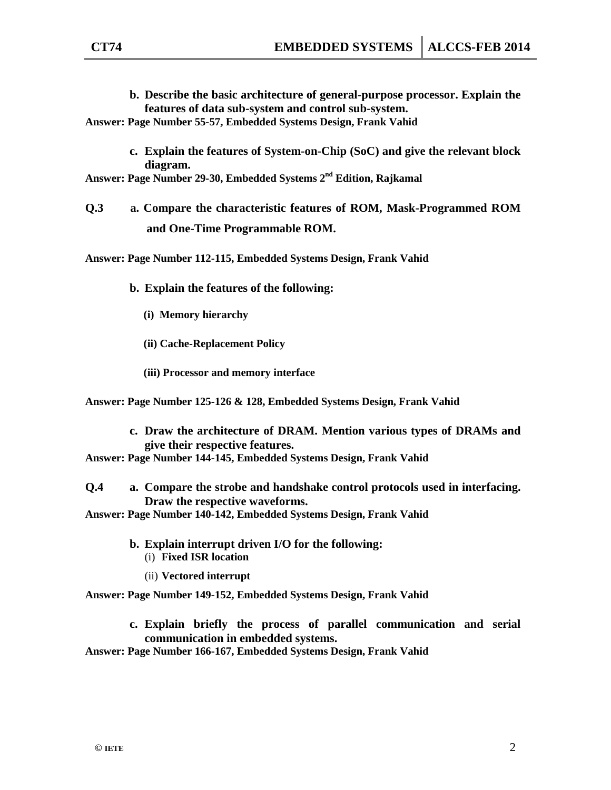- **b. Describe the basic architecture of general-purpose processor. Explain the features of data sub-system and control sub-system. Answer: Page Number 55-57, Embedded Systems Design, Frank Vahid**
	- **c. Explain the features of System-on-Chip (SoC) and give the relevant block diagram.**

**Answer: Page Number 29-30, Embedded Systems 2nd Edition, Rajkamal**

**Q.3 a. Compare the characteristic features of ROM, Mask-Programmed ROM and One-Time Programmable ROM.**

**Answer: Page Number 112-115, Embedded Systems Design, Frank Vahid**

- **b. Explain the features of the following:** 
	- **(i) Memory hierarchy**
	- **(ii) Cache-Replacement Policy**
	- **(iii) Processor and memory interface**

**Answer: Page Number 125-126 & 128, Embedded Systems Design, Frank Vahid**

**c. Draw the architecture of DRAM. Mention various types of DRAMs and give their respective features.** 

**Answer: Page Number 144-145, Embedded Systems Design, Frank Vahid**

**Q.4 a. Compare the strobe and handshake control protocols used in interfacing. Draw the respective waveforms.**

**Answer: Page Number 140-142, Embedded Systems Design, Frank Vahid**

- **b. Explain interrupt driven I/O for the following:** 
	- (i) **Fixed ISR location**
	- (ii) **Vectored interrupt**

**Answer: Page Number 149-152, Embedded Systems Design, Frank Vahid**

**c. Explain briefly the process of parallel communication and serial communication in embedded systems.** 

**Answer: Page Number 166-167, Embedded Systems Design, Frank Vahid**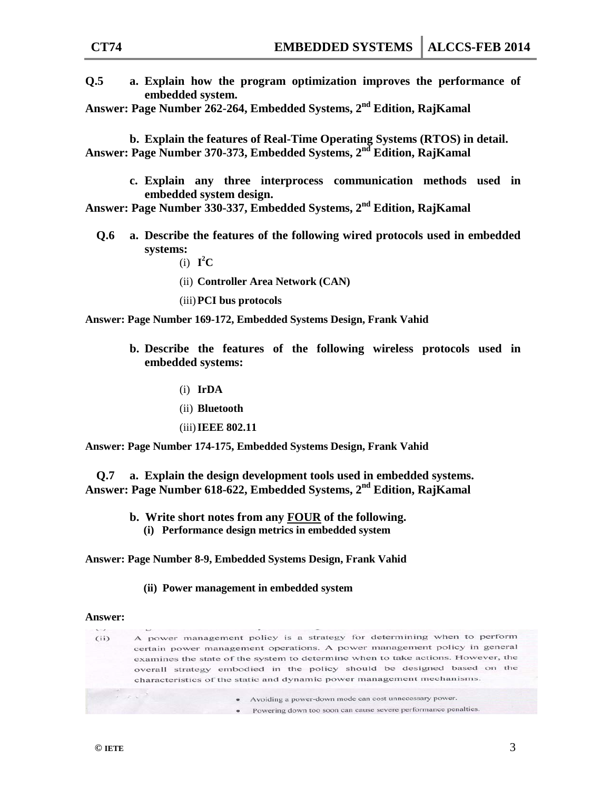**Q.5 a. Explain how the program optimization improves the performance of embedded system.**

**Answer: Page Number 262-264, Embedded Systems, 2nd Edition, RajKamal**

**b. Explain the features of Real-Time Operating Systems (RTOS) in detail. Answer: Page Number 370-373, Embedded Systems, 2nd Edition, RajKamal**

> **c. Explain any three interprocess communication methods used in embedded system design.**

**Answer: Page Number 330-337, Embedded Systems, 2nd Edition, RajKamal**

- **Q.6 a. Describe the features of the following wired protocols used in embedded systems:**
	- (i)  $I^2C$
	- (ii) **Controller Area Network (CAN)**
	- (iii)**PCI bus protocols**

**Answer: Page Number 169-172, Embedded Systems Design, Frank Vahid**

- **b. Describe the features of the following wireless protocols used in embedded systems:**
	- (i) **IrDA**
	- (ii) **Bluetooth**
	- (iii)**IEEE 802.11**

**Answer: Page Number 174-175, Embedded Systems Design, Frank Vahid**

**Q.7 a. Explain the design development tools used in embedded systems. Answer: Page Number 618-622, Embedded Systems, 2nd Edition, RajKamal**

- **b. Write short notes from any FOUR of the following.** 
	- **(i) Performance design metrics in embedded system**

**Answer: Page Number 8-9, Embedded Systems Design, Frank Vahid**

**(ii) Power management in embedded system**

#### **Answer:**

| マニア |                                                                                                                                                                                                                                                                                                                                                                                                                                                               |                                                                                  |
|-----|---------------------------------------------------------------------------------------------------------------------------------------------------------------------------------------------------------------------------------------------------------------------------------------------------------------------------------------------------------------------------------------------------------------------------------------------------------------|----------------------------------------------------------------------------------|
| (i) |                                                                                                                                                                                                                                                                                                                                                                                                                                                               | A power management policy is a strategy for determining when to perform          |
|     |                                                                                                                                                                                                                                                                                                                                                                                                                                                               | certain power management operations. A power management policy in general        |
|     |                                                                                                                                                                                                                                                                                                                                                                                                                                                               | examines the state of the system to determine when to take actions. However, the |
|     | overall strategy embodied in the policy should be designed based on the<br>characteristics of the static and dynamic power management mechanisms.                                                                                                                                                                                                                                                                                                             |                                                                                  |
|     |                                                                                                                                                                                                                                                                                                                                                                                                                                                               |                                                                                  |
|     | $\label{eq:2.1} \begin{array}{lllllllllllllll} \mathcal{A} & \mathcal{B} & \mathcal{B} & \mathcal{B} & \mathcal{B} \\ \mathcal{B} & \mathcal{B} & \mathcal{B} & \mathcal{B} & \mathcal{B} & \mathcal{B} \\ \mathcal{B} & \mathcal{B} & \mathcal{B} & \mathcal{B} & \mathcal{B} & \mathcal{B} \\ \mathcal{B} & \mathcal{B} & \mathcal{B} & \mathcal{B} & \mathcal{B} & \mathcal{B} \\ \mathcal{B} & \mathcal{B} & \mathcal{B} & \mathcal{B} & \mathcal{B} & \$ | Avoiding a power-down mode can cost unnecessary power.<br>$\bullet$              |
|     |                                                                                                                                                                                                                                                                                                                                                                                                                                                               | Powering down too soon can cause severe performance penalties.<br>٠              |